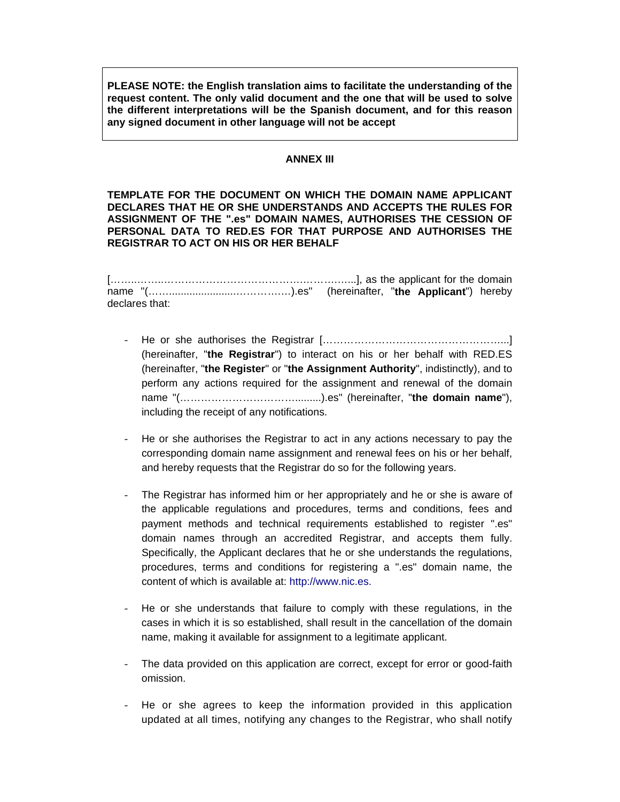**PLEASE NOTE: the English translation aims to facilitate the understanding of the request content. The only valid document and the one that will be used to solve the different interpretations will be the Spanish document, and for this reason any signed document in other language will not be accept** 

## **ANNEX III**

**TEMPLATE FOR THE DOCUMENT ON WHICH THE DOMAIN NAME APPLICANT DECLARES THAT HE OR SHE UNDERSTANDS AND ACCEPTS THE RULES FOR ASSIGNMENT OF THE ".es" DOMAIN NAMES, AUTHORISES THE CESSION OF PERSONAL DATA TO RED.ES FOR THAT PURPOSE AND AUTHORISES THE REGISTRAR TO ACT ON HIS OR HER BEHALF** 

[……..……..………………………………….……….…...], as the applicant for the domain name "(…….......................………….…).es" (hereinafter, "**the Applicant**") hereby declares that:

- He or she authorises the Registrar [……………………………………………...] (hereinafter, "**the Registrar**") to interact on his or her behalf with RED.ES (hereinafter, "**the Register**" or "**the Assignment Authority**", indistinctly), and to perform any actions required for the assignment and renewal of the domain name "(…………………………….........).es" (hereinafter, "**the domain name**"), including the receipt of any notifications.
- He or she authorises the Registrar to act in any actions necessary to pay the corresponding domain name assignment and renewal fees on his or her behalf, and hereby requests that the Registrar do so for the following years.
- The Registrar has informed him or her appropriately and he or she is aware of the applicable regulations and procedures, terms and conditions, fees and payment methods and technical requirements established to register ".es" domain names through an accredited Registrar, and accepts them fully. Specifically, the Applicant declares that he or she understands the regulations, procedures, terms and conditions for registering a ".es" domain name, the content of which is available at: http://www.nic.es.
- He or she understands that failure to comply with these regulations, in the cases in which it is so established, shall result in the cancellation of the domain name, making it available for assignment to a legitimate applicant.
- The data provided on this application are correct, except for error or good-faith omission.
- He or she agrees to keep the information provided in this application updated at all times, notifying any changes to the Registrar, who shall notify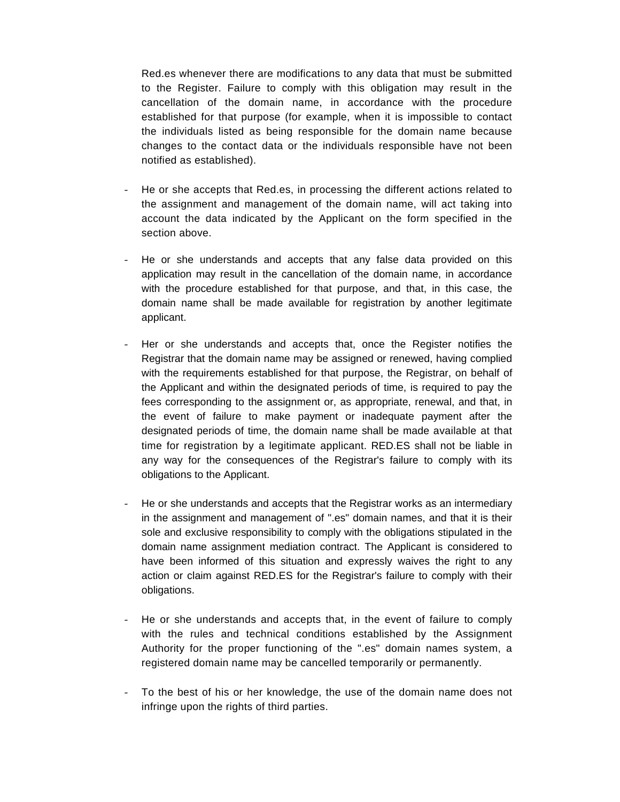Red.es whenever there are modifications to any data that must be submitted to the Register. Failure to comply with this obligation may result in the cancellation of the domain name, in accordance with the procedure established for that purpose (for example, when it is impossible to contact the individuals listed as being responsible for the domain name because changes to the contact data or the individuals responsible have not been notified as established).

- He or she accepts that Red.es, in processing the different actions related to the assignment and management of the domain name, will act taking into account the data indicated by the Applicant on the form specified in the section above.
- He or she understands and accepts that any false data provided on this application may result in the cancellation of the domain name, in accordance with the procedure established for that purpose, and that, in this case, the domain name shall be made available for registration by another legitimate applicant.
- Her or she understands and accepts that, once the Register notifies the Registrar that the domain name may be assigned or renewed, having complied with the requirements established for that purpose, the Registrar, on behalf of the Applicant and within the designated periods of time, is required to pay the fees corresponding to the assignment or, as appropriate, renewal, and that, in the event of failure to make payment or inadequate payment after the designated periods of time, the domain name shall be made available at that time for registration by a legitimate applicant. RED.ES shall not be liable in any way for the consequences of the Registrar's failure to comply with its obligations to the Applicant.
- He or she understands and accepts that the Registrar works as an intermediary in the assignment and management of ".es" domain names, and that it is their sole and exclusive responsibility to comply with the obligations stipulated in the domain name assignment mediation contract. The Applicant is considered to have been informed of this situation and expressly waives the right to any action or claim against RED.ES for the Registrar's failure to comply with their obligations.
- He or she understands and accepts that, in the event of failure to comply with the rules and technical conditions established by the Assignment Authority for the proper functioning of the ".es" domain names system, a registered domain name may be cancelled temporarily or permanently.
- To the best of his or her knowledge, the use of the domain name does not infringe upon the rights of third parties.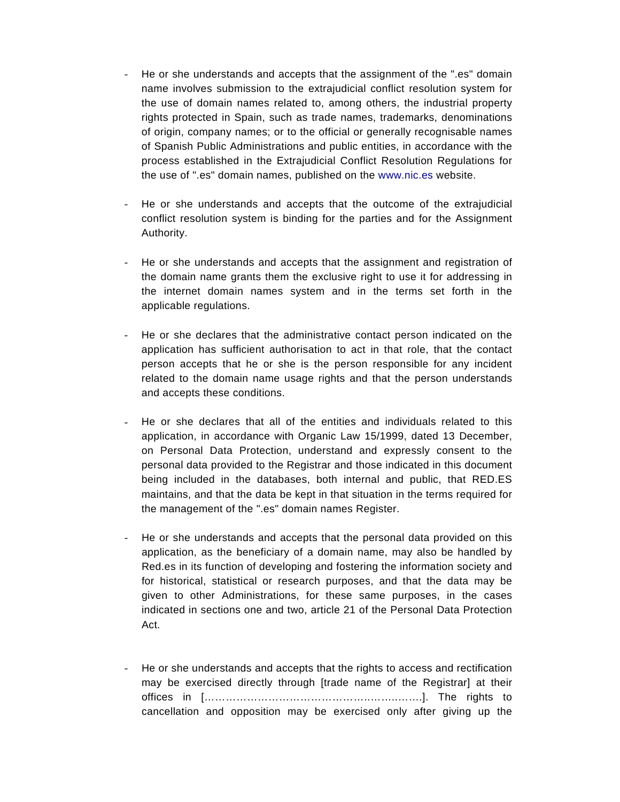- He or she understands and accepts that the assignment of the ".es" domain name involves submission to the extrajudicial conflict resolution system for the use of domain names related to, among others, the industrial property rights protected in Spain, such as trade names, trademarks, denominations of origin, company names; or to the official or generally recognisable names of Spanish Public Administrations and public entities, in accordance with the process established in the Extrajudicial Conflict Resolution Regulations for the use of ".es" domain names, published on the www.nic.es website.
- He or she understands and accepts that the outcome of the extrajudicial conflict resolution system is binding for the parties and for the Assignment Authority.
- He or she understands and accepts that the assignment and registration of the domain name grants them the exclusive right to use it for addressing in the internet domain names system and in the terms set forth in the applicable regulations.
- He or she declares that the administrative contact person indicated on the application has sufficient authorisation to act in that role, that the contact person accepts that he or she is the person responsible for any incident related to the domain name usage rights and that the person understands and accepts these conditions.
- He or she declares that all of the entities and individuals related to this application, in accordance with Organic Law 15/1999, dated 13 December, on Personal Data Protection, understand and expressly consent to the personal data provided to the Registrar and those indicated in this document being included in the databases, both internal and public, that RED.ES maintains, and that the data be kept in that situation in the terms required for the management of the ".es" domain names Register.
- He or she understands and accepts that the personal data provided on this application, as the beneficiary of a domain name, may also be handled by Red.es in its function of developing and fostering the information society and for historical, statistical or research purposes, and that the data may be given to other Administrations, for these same purposes, in the cases indicated in sections one and two, article 21 of the Personal Data Protection Act.
- He or she understands and accepts that the rights to access and rectification may be exercised directly through [trade name of the Registrar] at their offices in [………………………………………..……..…….]. The rights to cancellation and opposition may be exercised only after giving up the